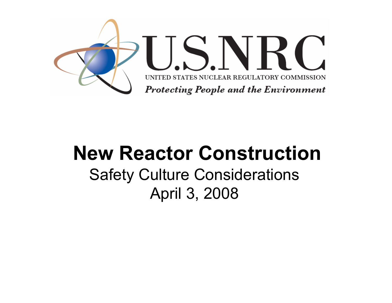

### **New Reactor Construction**Safety Culture Considerations April 3, 2008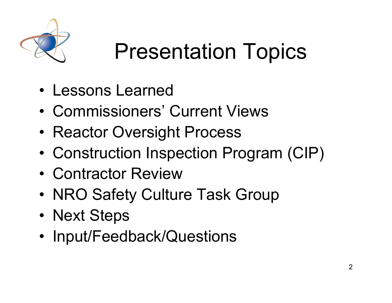

# Presentation Topics

- Lessons Learned
- Commissioners' Current Views
- •Reactor Oversight Process
- •Construction Inspection Program (CIP)
- Contractor Review
- •NRO Safety Culture Task Group
- •Next Steps
- •Input/Feedback/Questions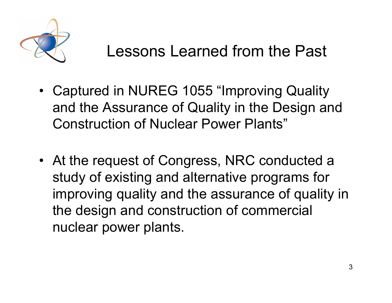

- Captured in NUREG 1055 "Improving Quality and the Assurance of Quality in the Design and Construction of Nuclear Power Plants"
- At the request of Congress, NRC conducted a study of existing and alternative programs for improving quality and the assurance of quality in the design and construction of commercial nuclear power plants.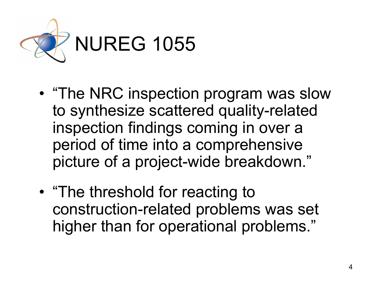

- • "The NRC inspection program was slow to synthesize scattered quality-related inspection findings coming in over a period of time into a comprehensive picture of a project-wide breakdown."
- • "The threshold for reacting to construction-related problems was set higher than for operational problems."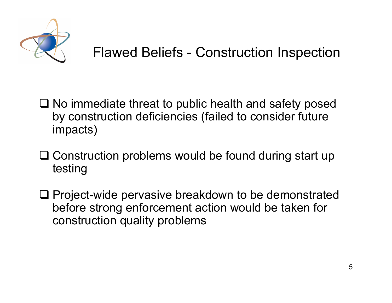

- $\square$  No immediate threat to public health and safety posed by construction deficiencies (failed to consider future impacts)
- **□ Construction problems would be found during start up** testing
- **□ Project-wide pervasive breakdown to be demonstrated** before strong enforcement action would be taken for construction quality problems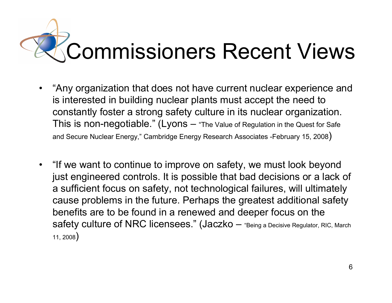# Commissioners Recent Views

- $\bullet$  "Any organization that does not have current nuclear experience and is interested in building nuclear plants must accept the need to constantly foster a strong safety culture in its nuclear organization. This is non-negotiable." (Lyons – "The Value of Regulation in the Quest for Safe and Secure Nuclear Energy," Cambridge Energy Research Associates -February 15, 2008 $\big)$
- "If we want to continue to improve on safety, we must look beyond just engineered controls. It is possible that bad decisions or a lack of a sufficient focus on safety, not technological failures, will ultimately cause problems in the future. Perhaps the greatest additional safety benefits are to be found in a renewed and deeper focus on the safety culture of NRC licensees." (Jaczko – "Being a Decisive Regulator, RIC, March 11, 2008 )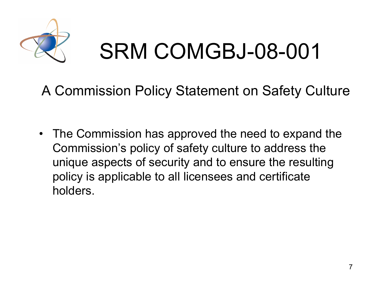

# SRM COMGBJ-08-001

A Commission Policy Statement on Safety Culture

• The Commission has approved the need to expand the Commission's policy of safety culture to address the unique aspects of security and to ensure the resulting policy is applicable to all licensees and certificate holders.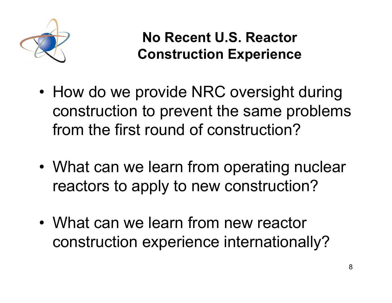

**No Recent U.S. Reactor Construction Experience**

- • How do we provide NRC oversight during construction to prevent the same problems from the first round of construction?
- • What can we learn from operating nuclear reactors to apply to new construction?
- What can we learn from new reactor construction experience internationally?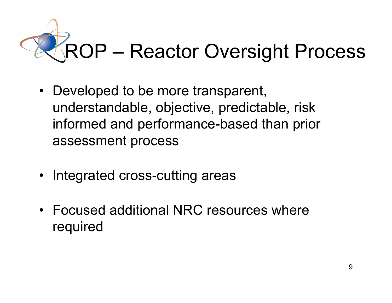

- Developed to be more transparent, understandable, objective, predictable, risk informed and performance-based than prior assessment process
- Integrated cross-cutting areas
- Focused additional NRC resources where required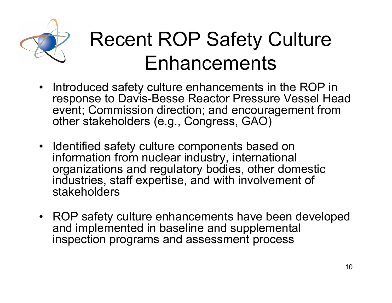

## Recent ROP Safety Culture Enhancements

- Introduced safety culture enhancements in the ROP in response to Davis-Besse Reactor Pressure Vessel Head event; Commission direction; and encouragement from other stakeholders (e.g., Congress, GAO)
- Identified safety culture components based on information from nuclear industry, international organizations and regulatory bodies, other domestic industries, staff expertise, and with involvement of stakeholders
- ROP safety culture enhancements have been developed and implemented in baseline and supplemental inspection programs and assessment process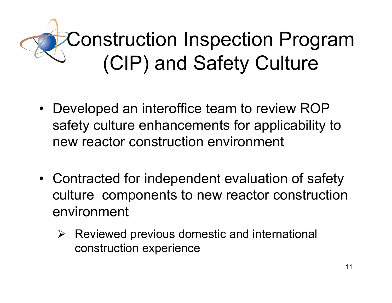# Construction Inspection Program (CIP) and Safety Culture

- Developed an interoffice team to review ROP safety culture enhancements for applicability to new reactor construction environment
- Contracted for independent evaluation of safety culture components to new reactor construction environment
	- $\triangleright$  Reviewed previous domestic and international construction experience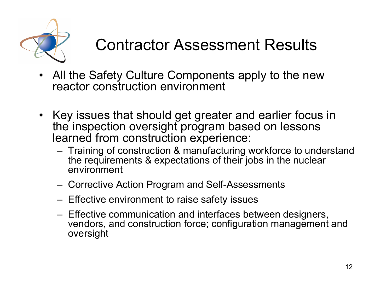

### Contractor Assessment Results

- $\bullet$  All the Safety Culture Components apply to the new reactor construction environment
- Key issues that should get greater and earlier focus in the inspection oversight program based on lessons learned from construction experience:
	- Training of construction & manufacturing workforce to understand the requirements & expectations of their jobs in the nuclear environment
	- Corrective Action Program and Self-Assessments
	- Effective environment to raise safety issues
	- Effective communication and interfaces between designers, vendors, and construction force; configuration management and oversight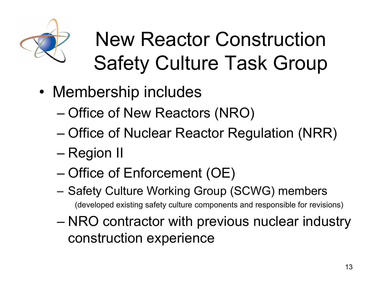

# New Reactor Construction Safety Culture Task Group

- Membership includes
	- Office of New Reactors (NRO)
	- Office of Nuclear Reactor Regulation (NRR)
	- Region II
	- Office of Enforcement (OE)
	- – Safety Culture Working Group (SCWG) members (developed existing safety culture components and responsible for revisions)
	- NRO contractor with previous nuclear industry construction experience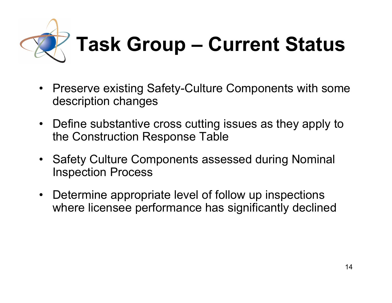

- $\bullet$  Preserve existing Safety-Culture Components with some description changes
- Define substantive cross cutting issues as they apply to the Construction Response Table
- Safety Culture Components assessed during Nominal Inspection Process
- $\bullet$  Determine appropriate level of follow up inspections where licensee performance has significantly declined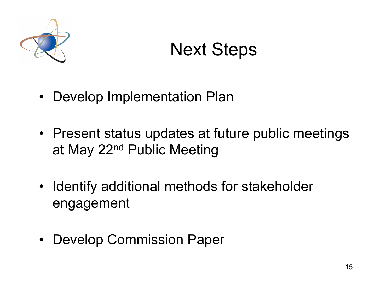

## Next Steps

- •Develop Implementation Plan
- Present status updates at future public meetings at May 22nd Public Meeting
- Identify additional methods for stakeholder engagement
- Develop Commission Paper